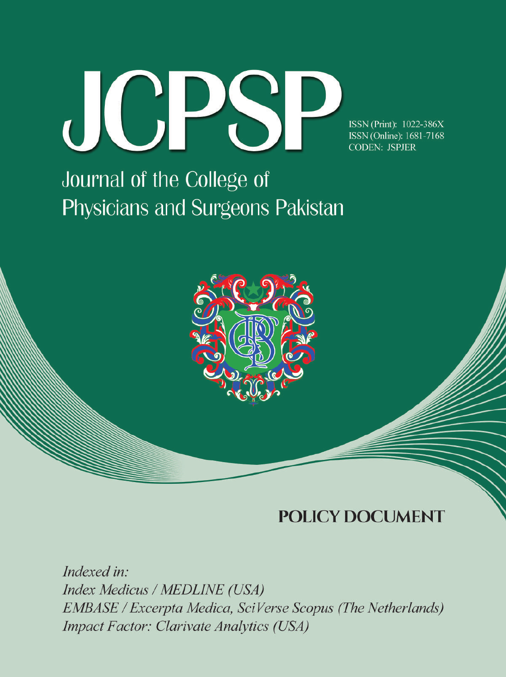

ISSN (Print): 1022-386X ISSN (Online): 1681-7168 **CODEN: JSPJER** 

# Journal of the College of Physicians and Surgeons Pakistan



## **POLICY DOCUMENT**

Indexed in: Index Medicus / MEDLINE (USA) **EMBASE / Excerpta Medica, SciVerse Scopus (The Netherlands) Impact Factor: Clarivate Analytics (USA)**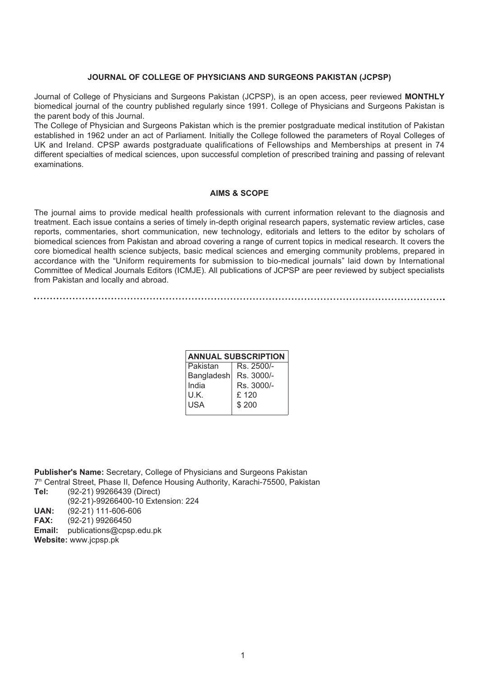#### **JOURNAL OF COLLEGE OF PHYSICIANS AND SURGEONS PAKISTAN (JCPSP)**

Journal of College of Physicians and Surgeons Pakistan (JCPSP), is an open access, peer reviewed **MONTHLY** biomedical journal of the country published regularly since 1991. College of Physicians and Surgeons Pakistan is the parent body of this Journal.

The College of Physician and Surgeons Pakistan which is the premier postgraduate medical institution of Pakistan established in 1962 under an act of Parliament. Initially the College followed the parameters of Royal Colleges of UK and Ireland. CPSP awards postgraduate qualifications of Fellowships and Memberships at present in 74 different specialties of medical sciences, upon successful completion of prescribed training and passing of relevant examinations.

#### **AIMS & SCOPE**

The journal aims to provide medical health professionals with current information relevant to the diagnosis and treatment. Each issue contains a series of timely in-depth original research papers, systematic review articles, case reports, commentaries, short communication, new technology, editorials and letters to the editor by scholars of biomedical sciences from Pakistan and abroad covering a range of current topics in medical research. It covers the core biomedical health science subjects, basic medical sciences and emerging community problems, prepared in accordance with the "Uniform requirements for submission to bio-medical journals" laid down by International Committee of Medical Journals Editors (ICMJE). All publications of JCPSP are peer reviewed by subject specialists from Pakistan and locally and abroad.

| <b>ANNUAL SUBSCRIPTION</b> |            |  |  |  |
|----------------------------|------------|--|--|--|
| Pakistan                   | Rs. 2500/- |  |  |  |
| Bangladesh                 | Rs. 3000/- |  |  |  |
| India                      | Rs. 3000/- |  |  |  |
| U.K.                       | £ 120      |  |  |  |
| USA                        | \$200      |  |  |  |
|                            |            |  |  |  |

**Publisher's Name:** Secretary, College of Physicians and Surgeons Pakistan 7<sup>th</sup> Central Street, Phase II, Defence Housing Authority, Karachi-75500, Pakistan<br>**Tel:** (92-21) 99266439 (Direct) **Tel:** (92-21) 99266439 (Direct)

(92-21)-99266400-10 Extension: 224

**UAN:** (92-21) 111-606-606<br>**FAX:** (92-21) 99266450

**FAX:** (92-21) 99266450

**Email:** publications@cpsp.edu.pk **Website:** www.jcpsp.pk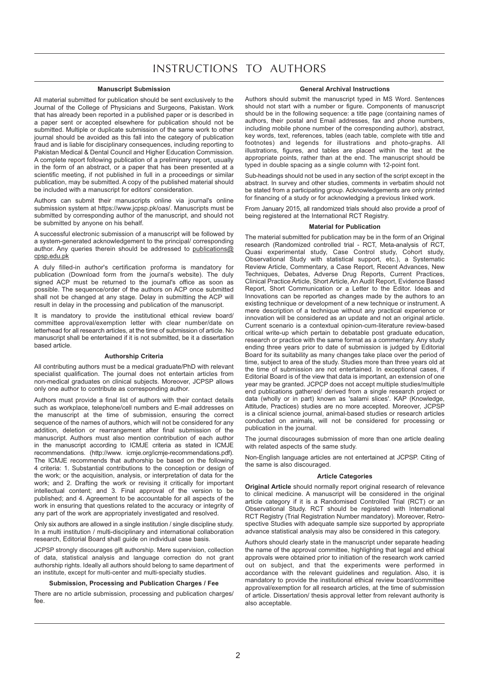### INSTRUCTIONS TO AUTHORS

#### **Manuscript Submission**

All material submitted for publication should be sent exclusively to the Journal of the College of Physicians and Surgeons, Pakistan. Work that has already been reported in a published paper or is described in a paper sent or accepted elsewhere for publication should not be submitted. Multiple or duplicate submission of the same work to other journal should be avoided as this fall into the category of publication fraud and is liable for disciplinary consequences, including reporting to Pakistan Medical & Dental Council and Higher Education Commission. A complete report following publication of a preliminary report, usually in the form of an abstract, or a paper that has been presented at a scientific meeting, if not published in full in a proceedings or similar publication, may be submitted. A copy of the published material should be included with a manuscript for editors' consideration.

Authors can submit their manuscripts online via journal's online submission system at https://www.jcpsp.pk/oas/. Manuscripts must be submitted by corresponding author of the manuscript, and should not be submitted by anyone on his behalf.

A successful electronic submission of a manuscript will be followed by a system-generated acknowledgement to the principal/ corresponding author. Any queries therein should be addressed to publications@ cpsp.edu.pk

A duly filled-in author's certification proforma is mandatory for publication (Download form from the journal's website). The duly signed ACP must be returned to the journal's office as soon as possible. The sequence/order of the authors on ACP once submitted shall not be changed at any stage. Delay in submitting the ACP will result in delay in the processing and publication of the manuscript.

It is mandatory to provide the institutional ethical review board/ committee approval/exemption letter with clear number/date on letterhead for all research articles, at the time of submission of article. No manuscript shall be entertained if it is not submitted, be it a dissertation based article.

#### **Authorship Criteria**

All contributing authors must be a medical graduate/PhD with relevant specialist qualification. The journal does not entertain articles from non-medical graduates on clinical subjects. Moreover, JCPSP allows only one author to contribute as corresponding author.

Authors must provide a final list of authors with their contact details such as workplace, telephone/cell numbers and E-mail addresses on the manuscript at the time of submission, ensuring the correct sequence of the names of authors, which will not be considered for any addition, deletion or rearrangement after final submission of the manuscript. Authors must also mention contribution of each author in the manuscript according to ICMJE criteria as stated in ICMJE recommendations. (http://www. icmje.org/icmje-recommendations.pdf). The ICMJE recommends that authorship be based on the following 4 criteria: 1. Substantial contributions to the conception or design of the work; or the acquisition, analysis, or interpretation of data for the work; and 2. Drafting the work or revising it critically for important intellectual content; and 3. Final approval of the version to be published; and 4. Agreement to be accountable for all aspects of the work in ensuring that questions related to the accuracy or integrity of any part of the work are appropriately investigated and resolved.

Only six authors are allowed in a single institution / single discipline study. In a multi institution / multi-disciplinary and international collaboration research, Editorial Board shall guide on individual case basis.

JCPSP strongly discourages gift authorship. Mere supervision, collection of data, statistical analysis and language correction do not grant authorship rights. Ideally all authors should belong to same department of an institute, except for multi-center and multi-specialty studies.

#### **Submission, Processing and Publication Charges / Fee**

There are no article submission, processing and publication charges/ fee.

#### **General Archival Instructions**

Authors should submit the manuscript typed in MS Word. Sentences should not start with a number or figure. Components of manuscript should be in the following sequence: a title page (containing names of authors, their postal and Email addresses, fax and phone numbers, including mobile phone number of the corresponding author), abstract, key words, text, references, tables (each table, complete with title and footnotes) and legends for illustrations and photo-graphs. All illustrations, figures, and tables are placed within the text at the appropriate points, rather than at the end. The manuscript should be typed in double spacing as a single column with 12-point font.

Sub-headings should not be used in any section of the script except in the abstract. In survey and other studies, comments in verbatim should not be stated from a participating group. Acknowledgements are only printed for financing of a study or for acknowledging a previous linked work.

From January 2015, all randomized trials should also provide a proof of being registered at the International RCT Registry.

#### **Material for Publication**

The material submitted for publication may be in the form of an Original research (Randomized controlled trial - RCT, Meta-analysis of RCT, Quasi experimental study, Case Control study, Cohort study, Observational Study with statistical support, etc.), a Systematic Review Article, Commentary, a Case Report, Recent Advances, New Techniques, Debates, Adverse Drug Reports, Current Practices, Clinical Practice Article, Short Article, An Audit Report, Evidence Based Report, Short Communication or a Letter to the Editor. Ideas and Innovations can be reported as changes made by the authors to an existing technique or development of a new technique or instrument. A mere description of a technique without any practical experience or innovation will be considered as an update and not an original article. Current scenario is a contextual opinion-cum-literature review-based critical write-up which pertain to debatable post graduate education, research or practice with the same format as a commentary. Any study ending three years prior to date of submission is judged by Editorial Board for its suitability as many changes take place over the period of time, subject to area of the study. Studies more than three years old at the time of submission are not entertained. In exceptional cases, if Editorial Board is of the view that data is important, an extension of one year may be granted. JCPCP does not accept multiple studies/multiple end publications gathered/ derived from a single research project or data (wholly or in part) known as 'salami slices'. KAP (Knowledge, Attitude, Practices) studies are no more accepted. Moreover, JCPSP is a clinical science journal, animal-based studies or research articles conducted on animals, will not be considered for processing or publication in the journal.

The journal discourages submission of more than one article dealing with related aspects of the same study.

Non-English language articles are not entertained at JCPSP. Citing of the same is also discouraged.

#### **Article Categories**

**Original Article** should normally report original research of relevance to clinical medicine. A manuscript will be considered in the original article category if it is a Randomised Controlled Trial (RCT) or an Observational Study. RCT should be registered with International RCT Registry (Trial Registration Number mandatory). Moreover, Retrospective Studies with adequate sample size supported by appropriate advance statistical analysis may also be considered in this category.

Authors should clearly state in the manuscript under separate heading the name of the approval committee, highlighting that legal and ethical approvals were obtained prior to initiation of the research work carried out on subject, and that the experiments were performed in accordance with the relevant guidelines and regulation. Also, it is mandatory to provide the institutional ethical review board/committee approval/exemption for all research articles, at the time of submission of article. Dissertation/ thesis approval letter from relevant authority is also acceptable.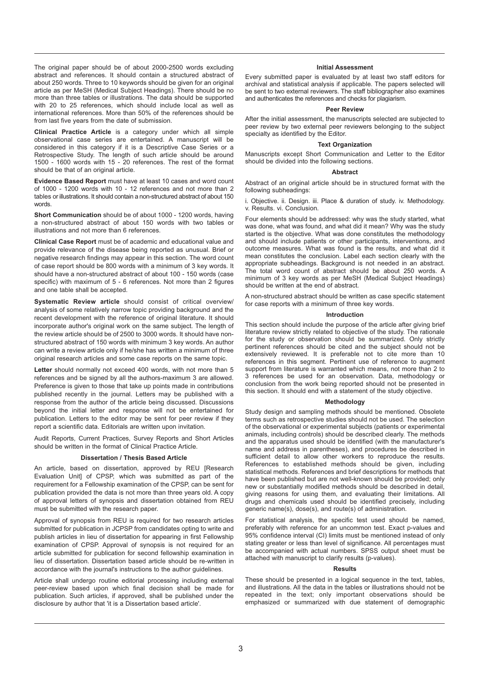The original paper should be of about 2000-2500 words excluding abstract and references. It should contain a structured abstract of about 250 words. Three to 10 keywords should be given for an original article as per MeSH (Medical Subject Headings). There should be no more than three tables or illustrations. The data should be supported with 20 to 25 references, which should include local as well as international references. More than 50% of the references should be from last five years from the date of submission.

**Clinical Practice Article** is a category under which all simple observational case series are entertained. A manuscript will be *c*onsidered in this category if it is a Descriptive Case Series or a Retrospective Study. The length of such article should be around 1500 - 1600 words with 15 - 20 references. The rest of the format should be that of an original article.

**Evidence Based Report** must have at least 10 cases and word count of 1000 - 1200 words with 10 - 12 references and not more than 2 tables or illustrations. It should contain a non-structured abstract of about 150 words.

**Short Communication** should be of about 1000 - 1200 words, having a non-structured abstract of about 150 words with two tables or illustrations and not more than 6 references.

**Clinical Case Report** must be of academic and educational value and provide relevance of the disease being reported as unusual. Brief or negative research findings may appear in this section. The word count of case report should be 800 words with a minimum of 3 key words. It should have a non-structured abstract of about 100 - 150 words (case specific) with maximum of 5 - 6 references. Not more than 2 figures and one table shall be accepted.

**Systematic Review article** should consist of critical overview/ analysis of some relatively narrow topic providing background and the recent development with the reference of original literature. It should incorporate author's original work on the same subject. The length of the review article should be of 2500 to 3000 words. It should have nonstructured abstract of 150 words with minimum 3 key words. An author can write a review article only if he/she has written a minimum of three original research articles and some case reports on the same topic.

**Letter** should normally not exceed 400 words, with not more than 5 references and be signed by all the authors-maximum 3 are allowed. Preference is given to those that take up points made in contributions published recently in the journal. Letters may be published with a response from the author of the article being discussed. Discussions beyond the initial letter and response will not be entertained for publication. Letters to the editor may be sent for peer review if they report a scientific data. Editorials are written upon invitation.

Audit Reports, Current Practices, Survey Reports and Short Articles should be written in the format of Clinical Practice Article.

#### **Dissertation / Thesis Based Article**

An article, based on dissertation, approved by REU [Research Evaluation Unit] of CPSP, which was submitted as part of the requirement for a Fellowship examination of the CPSP, can be sent for publication provided the data is not more than three years old. A copy of approval letters of synopsis and dissertation obtained from REU must be submitted with the research paper.

Approval of synopsis from REU is required for two research articles submitted for publication in JCPSP from candidates opting to write and publish articles in lieu of dissertation for appearing in first Fellowship examination of CPSP. Approval of synopsis is not required for an article submitted for publication for second fellowship examination in lieu of dissertation. Dissertation based article should be re-written in accordance with the journal's instructions to the author quidelines.

Article shall undergo routine editorial processing including external peer-review based upon which final decision shall be made for publication. Such articles, if approved, shall be published under the disclosure by author that 'it is a Dissertation based article'.

#### **Initial Assessment**

Every submitted paper is evaluated by at least two staff editors for archival and statistical analysis if applicable. The papers selected will be sent to two external reviewers. The staff bibliographer also examines and authenticates the references and checks for plagiarism.

#### **Peer Review**

After the initial assessment, the manuscripts selected are subjected to peer review by two external peer reviewers belonging to the subject specialty as identified by the Editor.

#### **Text Organization**

Manuscripts except Short Communication and Letter to the Editor should be divided into the following sections.

#### **Abstract**

Abstract of an original article should be in structured format with the following subheadings:

i. Objective. ii. Design. iii. Place & duration of study. iv. Methodology. v. Results. vi. Conclusion.

Four elements should be addressed: why was the study started, what was done, what was found, and what did it mean? Why was the study started is the objective. What was done constitutes the methodology and should include patients or other participants, interventions, and outcome measures. What was found is the results, and what did it mean constitutes the conclusion. Label each section clearly with the appropriate subheadings. Background is not needed in an abstract. The total word count of abstract should be about 250 words. A minimum of 3 key words as per MeSH (Medical Subject Headings) should be written at the end of abstract.

A non-structured abstract should be written as case specific statement for case reports with a minimum of three key words.

#### **Introduction**

This section should include the purpose of the article after giving brief literature review strictly related to objective of the study. The rationale for the study or observation should be summarized. Only strictly pertinent references should be cited and the subject should not be extensively reviewed. It is preferable not to cite more than 10 references in this segment. Pertinent use of reference to augment support from literature is warranted which means, not more than 2 to 3 references be used for an observation. Data, methodology or conclusion from the work being reported should not be presented in this section. It should end with a statement of the study objective.

#### **Methodology**

Study design and sampling methods should be mentioned. Obsolete terms such as retrospective studies should not be used. The selection of the observational or experimental subjects (patients or experimental animals, including controls) should be described clearly. The methods and the apparatus used should be identified (with the manufacturer's name and address in parentheses), and procedures be described in sufficient detail to allow other workers to reproduce the results. References to established methods should be given, including statistical methods. References and brief descriptions for methods that have been published but are not well-known should be provided; only new or substantially modified methods should be described in detail, giving reasons for using them, and evaluating their limitations. All drugs and chemicals used should be identified precisely, including generic name(s), dose(s), and route(s) of administration.

For statistical analysis, the specific test used should be named, preferably with reference for an uncommon test. Exact p-values and 95% confidence interval (CI) limits must be mentioned instead of only stating greater or less than level of significance. All percentages must be accompanied with actual numbers. SPSS output sheet must be attached with manuscript to clarify results (p-values).

#### **Results**

These should be presented in a logical sequence in the text, tables, and illustrations. All the data in the tables or illustrations should not be repeated in the text; only important observations should be emphasized or summarized with due statement of demographic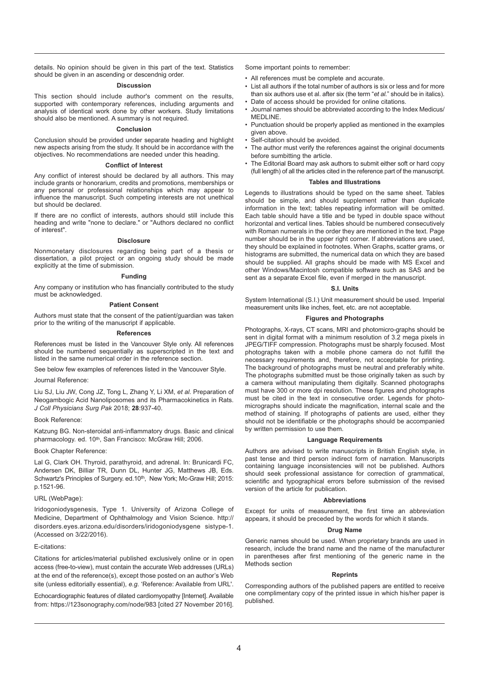details. No opinion should be given in this part of the text. Statistics should be given in an ascending or descendnig order.

#### **Discussion**

This section should include author's comment on the results, supported with contemporary references, including arguments and analysis of identical work done by other workers. Study limitations should also be mentioned. A summary is not required.

#### **Conclusion**

Conclusion should be provided under separate heading and highlight new aspects arising from the study. It should be in accordance with the objectives. No recommendations are needed under this heading.

#### **Conflict of Interest**

Any conflict of interest should be declared by all authors. This may include grants or honorarium, credits and promotions, memberships or any personal or professional relationships which may appear to influence the manuscript. Such competing interests are not unethical but should be declared.

If there are no conflict of interests, authors should still include this heading and write "none to declare." or "Authors declared no conflict of interest".

#### **Disclosure**

Nonmonetary disclosures regarding being part of a thesis or dissertation, a pilot project or an ongoing study should be made explicitly at the time of submission.

#### **Funding**

Any company or institution who has financially contributed to the study must be acknowledged.

#### **Patient Consent**

Authors must state that the consent of the patient/guardian was taken prior to the writing of the manuscript if applicable.

#### **References**

References must be listed in the Vancouver Style only. All references should be numbered sequentially as superscripted in the text and listed in the same numerical order in the reference section.

See below few examples of references listed in the Vancouver Style.

#### Journal Reference:

Liu SJ, Liu JW, Cong JZ, Tong L, Zhang Y, Li XM, *et al.* Preparation of Neogambogic Acid Nanoliposomes and its Pharmacokinetics in Rats. *J Coll Physicians Surg Pak* 2018; **28**:937-40.

#### Book Reference:

Katzung BG. Non-steroidal anti-inflammatory drugs. Basic and clinical pharmacology. ed. 10<sup>th</sup>, San Francisco: McGraw Hill; 2006.

Book Chapter Reference:

Lal G, Clark OH. Thyroid, parathyroid, and adrenal. In: Brunicardi FC, Andersen DK, Billiar TR, Dunn DL, Hunter JG, Matthews JB, Eds. Schwartz's Principles of Surgery. ed.10<sup>th</sup>, New York; Mc-Graw Hill; 2015: p.1521-96.

#### URL (WebPage):

Iridogoniodysgenesis, Type 1. University of Arizona College of Medicine, Department of Ophthalmology and Vision Science. http:// disorders.eyes.arizona.edu/disorders/iridogoniodysgene sistype-1. (Accessed on 3/22/2016).

#### E-citations:

Citations for articles/material published exclusively online or in open access (free-to-view), must contain the accurate Web addresses (URLs) at the end of the reference(s), except those posted on an author's Web site (unless editorially essential), *e.g.* 'Reference: Available from URL'.

Echocardiographic features of dilated cardiomyopathy [Internet]. Available from: https://123sonography.com/node/983 [cited 27 November 2016]. Some important points to remember:

• All references must be complete and accurate.

- List all authors if the total number of authors is six or less and for more than six authors use et al. after six (the term "*et al.*" should be in italics).
- Date of access should be provided for online citations.
- Journal names should be abbreviated according to the Index Medicus/ MEDLINE.
- Punctuation should be properly applied as mentioned in the examples given above.
- Self-citation should be avoided.
- The author must verify the references against the original documents before sumbitting the article.
- The Editorial Board may ask authors to submit either soft or hard copy (full length) of all the articles cited in the reference part of the manuscript.

#### **Tables and Illustrations**

Legends to illustrations should be typed on the same sheet. Tables should be simple, and should supplement rather than duplicate information in the text; tables repeating information will be omitted. Each table should have a title and be typed in double space without horizontal and vertical lines. Tables should be numbered consecutively with Roman numerals in the order they are mentioned in the text. Page number should be in the upper right corner. If abbreviations are used, they should be explained in footnotes. When Graphs, scatter grams, or histograms are submitted, the numerical data on which they are based should be supplied. All graphs should be made with MS Excel and other Windows/Macintosh compatible software such as SAS and be sent as a separate Excel file, even if merged in the manuscript.

#### **S.I. Units**

System International (S.I.) Unit measurement should be used. Imperial measurement units like inches, feet, etc. are not acceptable.

#### **Figures and Photographs**

Photographs, X-rays, CT scans, MRI and photomicro-graphs should be sent in digital format with a minimum resolution of 3.2 mega pixels in JPEG/TIFF compression. Photographs must be sharply focused. Most photographs taken with a mobile phone camera do not fulfill the necessary requirements and, therefore, not acceptable for printing. The background of photographs must be neutral and preferably white. The photographs submitted must be those originally taken as such by a camera without manipulating them digitally. Scanned photographs must have 300 or more dpi resolution. These figures and photographs must be cited in the text in consecutive order. Legends for photomicrographs should indicate the magnification, internal scale and the method of staining. If photographs of patients are used, either they should not be identifiable or the photographs should be accompanied by written permission to use them.

#### **Language Requirements**

Authors are advised to write manuscripts in British English style, in past tense and third person indirect form of narration. Manuscripts containing language inconsistencies will not be published. Authors should seek professional assistance for correction of grammatical, scientific and typographical errors before submission of the revised version of the article for publication.

#### **Abbreviations**

Except for units of measurement, the first time an abbreviation appears, it should be preceded by the words for which it stands.

#### **Drug Name**

Generic names should be used. When proprietary brands are used in research, include the brand name and the name of the manufacturer in parentheses after first mentioning of the generic name in the Methods section

#### **Reprints**

Corresponding authors of the published papers are entitled to receive one complimentary copy of the printed issue in which his/her paper is published.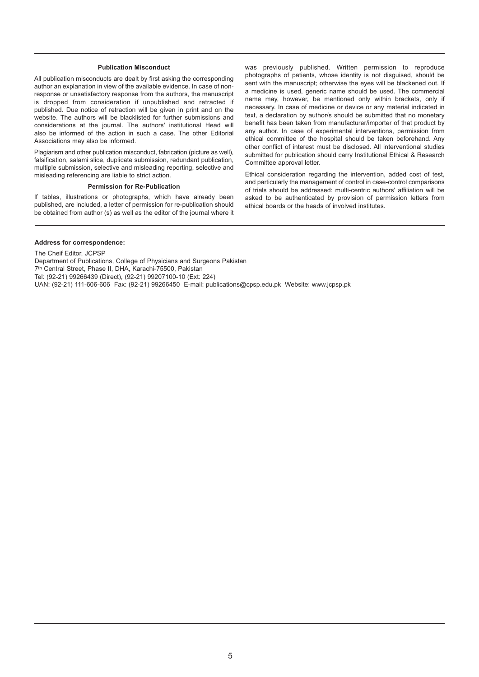#### **Publication Misconduct**

All publication misconducts are dealt by first asking the corresponding author an explanation in view of the available evidence. In case of nonresponse or unsatisfactory response from the authors, the manuscript is dropped from consideration if unpublished and retracted if published. Due notice of retraction will be given in print and on the website. The authors will be blacklisted for further submissions and considerations at the journal. The authors' institutional Head will also be informed of the action in such a case. The other Editorial Associations may also be informed.

Plagiarism and other publication misconduct, fabrication (picture as well), falsification, salami slice, duplicate submission, redundant publication, multiple submission, selective and misleading reporting, selective and misleading referencing are liable to strict action.

#### **Permission for Re-Publication**

If tables, illustrations or photographs, which have already been published, are included, a letter of permission for re-publication should be obtained from author (s) as well as the editor of the journal where it was previously published. Written permission to reproduce photographs of patients, whose identity is not disguised, should be sent with the manuscript; otherwise the eyes will be blackened out. If a medicine is used, generic name should be used. The commercial name may, however, be mentioned only within brackets, only if necessary. In case of medicine or device or any material indicated in text, a declaration by author/s should be submitted that no monetary benefit has been taken from manufacturer/importer of that product by any author. In case of experimental interventions, permission from ethical committee of the hospital should be taken beforehand. Any other conflict of interest must be disclosed. All interventional studies submitted for publication should carry Institutional Ethical & Research Committee approval letter.

Ethical consideration regarding the intervention, added cost of test, and particularly the management of control in case-control comparisons of trials should be addressed: multi-centric authors' affiliation will be asked to be authenticated by provision of permission letters from ethical boards or the heads of involved institutes.

#### **Address for correspondence:**

The Cheif Editor, JCPSP Department of Publications, College of Physicians and Surgeons Pakistan 7th Central Street, Phase II, DHA, Karachi-75500, Pakistan Tel: (92-21) 99266439 (Direct), (92-21) 99207100-10 (Ext: 224) UAN: (92-21) 111-606-606 Fax: (92-21) 99266450 E-mail: publications@cpsp.edu.pk Website: www.jcpsp.pk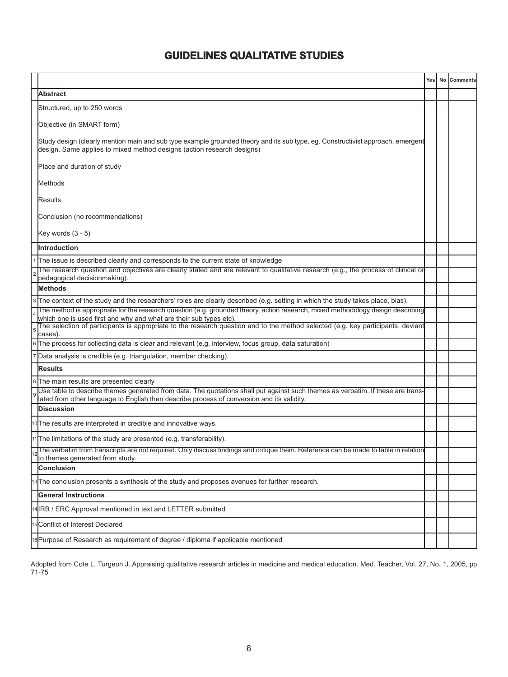### **GUIDELINES QUALITATIVE STUDIES**

|                                                                                                                                                                                                                               |  | Yes   No Comments |
|-------------------------------------------------------------------------------------------------------------------------------------------------------------------------------------------------------------------------------|--|-------------------|
| <b>Abstract</b>                                                                                                                                                                                                               |  |                   |
| Structured, up to 250 words                                                                                                                                                                                                   |  |                   |
| Objective (in SMART form)                                                                                                                                                                                                     |  |                   |
| Study design (clearly mention main and sub type example grounded theory and its sub type, eg. Constructivist approach, emergent<br>design. Same applies to mixed method designs (action research designs)                     |  |                   |
| Place and duration of study                                                                                                                                                                                                   |  |                   |
| Methods                                                                                                                                                                                                                       |  |                   |
| Results                                                                                                                                                                                                                       |  |                   |
| Conclusion (no recommendations)                                                                                                                                                                                               |  |                   |
| Key words $(3 - 5)$                                                                                                                                                                                                           |  |                   |
| IIntroduction                                                                                                                                                                                                                 |  |                   |
| 1 The issue is described clearly and corresponds to the current state of knowledge                                                                                                                                            |  |                   |
| The research question and objectives are clearly stated and are relevant to qualitative research (e.g., the process of clinical or<br>pedagogical decisionmaking).                                                            |  |                   |
| lMethods                                                                                                                                                                                                                      |  |                   |
| 3 The context of the study and the researchers' roles are clearly described (e.g. setting in which the study takes place, bias).                                                                                              |  |                   |
| The method is appropriate for the research question (e.g. grounded theory, action research, mixed methodology design describing                                                                                               |  |                   |
| which one is used first and why and what are their sub types etc).<br>The selection of participants is appropriate to the research question and to the method selected (e.g. key participants, deviant<br>cases).             |  |                   |
| 6 The process for collecting data is clear and relevant (e.g. interview, focus group, data saturation)                                                                                                                        |  |                   |
| Data analysis is credible (e.g. triangulation, member checking).                                                                                                                                                              |  |                   |
| Results                                                                                                                                                                                                                       |  |                   |
| 8 The main results are presented clearly                                                                                                                                                                                      |  |                   |
| Use table to describe themes generated from data. The quotations shall put against such themes as verbatim. If these are trans-<br>lated from other language to English then describe process of conversion and its validity. |  |                   |
| Discussion                                                                                                                                                                                                                    |  |                   |
| oThe results are interpreted in credible and innovative ways.                                                                                                                                                                 |  |                   |
| 11 The limitations of the study are presented (e.g. transferability).                                                                                                                                                         |  |                   |
| The verbatim from transcripts are not required. Only discuss findings and critique them. Reference can be made to table in relation<br>to themes generated from study.                                                        |  |                   |
| Conclusion                                                                                                                                                                                                                    |  |                   |
| 3 The conclusion presents a synthesis of the study and proposes avenues for further research.                                                                                                                                 |  |                   |
| General Instructions                                                                                                                                                                                                          |  |                   |
| 4 IRB / ERC Approval mentioned in text and LETTER submitted                                                                                                                                                                   |  |                   |
| 5Conflict of Interest Declared                                                                                                                                                                                                |  |                   |
| I6 Purpose of Research as requirement of degree / diploma if applicable mentioned                                                                                                                                             |  |                   |

Adopted from Cote L, Turgeon J. Appraising qualitative research articles in medicine and medical education. Med. Teacher, Vol. 27, No. 1, 2005, pp 71-75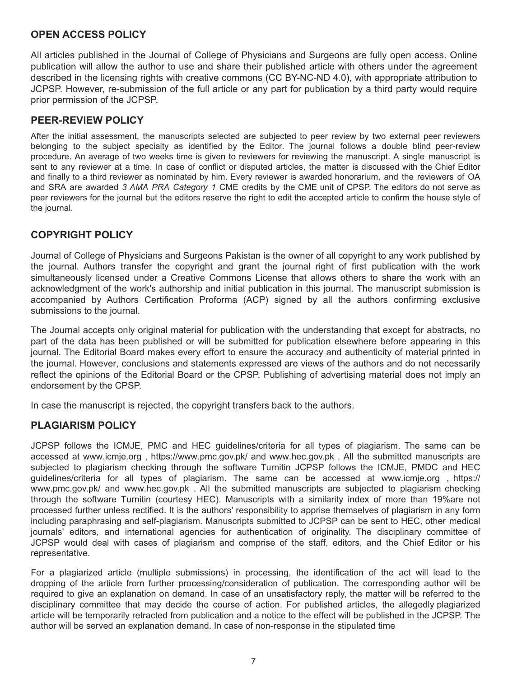### **OPEN ACCESS POLICY**

All articles published in the Journal of College of Physicians and Surgeons are fully open access. Online publication will allow the author to use and share their published article with others under the agreement described in the licensing rights with creative commons (CC BY-NC-ND 4.0), with appropriate attribution to JCPSP. However, re-submission of the full article or any part for publication by a third party would require prior permission of the JCPSP.

### **PEER-REVIEW POLICY**

After the initial assessment, the manuscripts selected are subjected to peer review by two external peer reviewers belonging to the subject specialty as identified by the Editor. The journal follows a double blind peer-review procedure. An average of two weeks time is given to reviewers for reviewing the manuscript. A single manuscript is sent to any reviewer at a time. In case of conflict or disputed articles, the matter is discussed with the Chief Editor and finally to a third reviewer as nominated by him. Every reviewer is awarded honorarium, and the reviewers of OA and SRA are awarded *3 AMA PRA Category 1* CME credits by the CME unit of CPSP. The editors do not serve as peer reviewers for the journal but the editors reserve the right to edit the accepted article to confirm the house style of the journal.

### **COPYRIGHT POLICY**

Journal of College of Physicians and Surgeons Pakistan is the owner of all copyright to any work published by the journal. Authors transfer the copyright and grant the journal right of first publication with the work simultaneously licensed under a Creative Commons License that allows others to share the work with an acknowledgment of the work's authorship and initial publication in this journal. The manuscript submission is accompanied by Authors Certification Proforma (ACP) signed by all the authors confirming exclusive submissions to the journal.

The Journal accepts only original material for publication with the understanding that except for abstracts, no part of the data has been published or will be submitted for publication elsewhere before appearing in this journal. The Editorial Board makes every effort to ensure the accuracy and authenticity of material printed in the journal. However, conclusions and statements expressed are views of the authors and do not necessarily reflect the opinions of the Editorial Board or the CPSP. Publishing of advertising material does not imply an endorsement by the CPSP.

In case the manuscript is rejected, the copyright transfers back to the authors.

### **PLAGIARISM POLICY**

JCPSP follows the ICMJE, PMC and HEC guidelines/criteria for all types of plagiarism. The same can be accessed at www.icmje.org , https://www.pmc.gov.pk/ and www.hec.gov.pk . All the submitted manuscripts are subjected to plagiarism checking through the software Turnitin JCPSP follows the ICMJE, PMDC and HEC guidelines/criteria for all types of plagiarism. The same can be accessed at www.icmje.org , https:// www.pmc.gov.pk/ and www.hec.gov.pk . All the submitted manuscripts are subjected to plagiarism checking through the software Turnitin (courtesy HEC). Manuscripts with a similarity index of more than 19%are not processed further unless rectified. It is the authors' responsibility to apprise themselves of plagiarism in any form including paraphrasing and self-plagiarism. Manuscripts submitted to JCPSP can be sent to HEC, other medical journals' editors, and international agencies for authentication of originality. The disciplinary committee of JCPSP would deal with cases of plagiarism and comprise of the staff, editors, and the Chief Editor or his representative.

For a plagiarized article (multiple submissions) in processing, the identification of the act will lead to the dropping of the article from further processing/consideration of publication. The corresponding author will be required to give an explanation on demand. In case of an unsatisfactory reply, the matter will be referred to the disciplinary committee that may decide the course of action. For published articles, the allegedly plagiarized article will be temporarily retracted from publication and a notice to the effect will be published in the JCPSP. The author will be served an explanation demand. In case of non-response in the stipulated time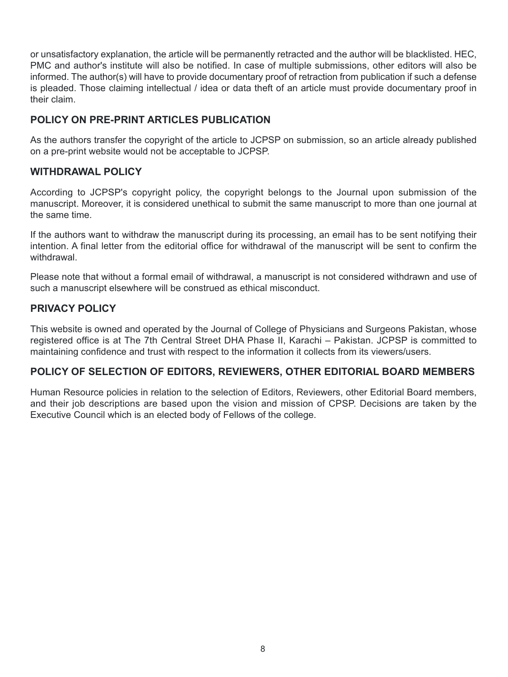or unsatisfactory explanation, the article will be permanently retracted and the author will be blacklisted. HEC, PMC and author's institute will also be notified. In case of multiple submissions, other editors will also be informed. The author(s) will have to provide documentary proof of retraction from publication if such a defense is pleaded. Those claiming intellectual / idea or data theft of an article must provide documentary proof in their claim.

### **POLICY ON PRE-PRINT ARTICLES PUBLICATION**

As the authors transfer the copyright of the article to JCPSP on submission, so an article already published on a pre-print website would not be acceptable to JCPSP.

### **WITHDRAWAL POLICY**

According to JCPSP's copyright policy, the copyright belongs to the Journal upon submission of the manuscript. Moreover, it is considered unethical to submit the same manuscript to more than one journal at the same time.

If the authors want to withdraw the manuscript during its processing, an email has to be sent notifying their intention. A final letter from the editorial office for withdrawal of the manuscript will be sent to confirm the withdrawal.

Please note that without a formal email of withdrawal, a manuscript is not considered withdrawn and use of such a manuscript elsewhere will be construed as ethical misconduct.

### **PRIVACY POLICY**

This website is owned and operated by the Journal of College of Physicians and Surgeons Pakistan, whose registered office is at The 7th Central Street DHA Phase II, Karachi – Pakistan. JCPSP is committed to maintaining confidence and trust with respect to the information it collects from its viewers/users.

### **POLICY OF SELECTION OF EDITORS, REVIEWERS, OTHER EDITORIAL BOARD MEMBERS**

Human Resource policies in relation to the selection of Editors, Reviewers, other Editorial Board members, and their job descriptions are based upon the vision and mission of CPSP. Decisions are taken by the Executive Council which is an elected body of Fellows of the college.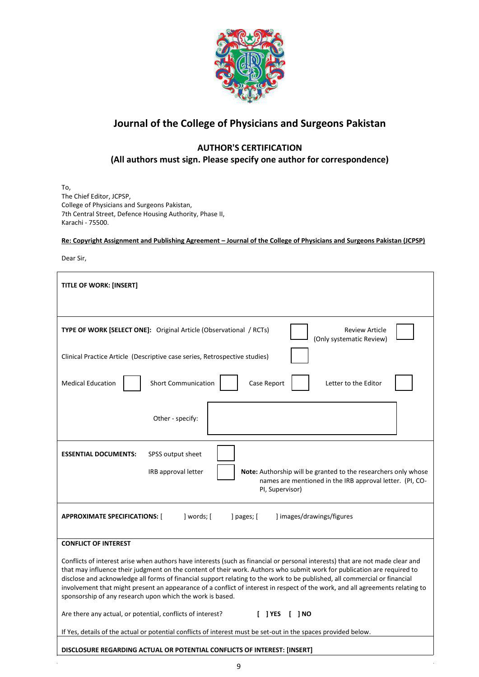

### **Journal of the College of Physicians and Surgeons Pakistan**

### **AUTHOR'S CERTIFICATION**

**(All authors must sign. Please specify one author for correspondence)**

To, The Chief Editor, JCPSP, College of Physicians and Surgeons Pakistan, 7th Central Street, Defence Housing Authority, Phase II, Karachi - 75500.

**Re: Copyright Assignment and Publishing Agreement – Journal of the College of Physicians and Surgeons Pakistan (JCPSP)** 

Dear Sir,

 $\hat{\mathbf{r}}$ 

| <b>TITLE OF WORK: [INSERT]</b>                                                                                                                                                                                                                                                                                                                                                                                                                                                                                                                                                                                                                                          |  |  |  |  |  |
|-------------------------------------------------------------------------------------------------------------------------------------------------------------------------------------------------------------------------------------------------------------------------------------------------------------------------------------------------------------------------------------------------------------------------------------------------------------------------------------------------------------------------------------------------------------------------------------------------------------------------------------------------------------------------|--|--|--|--|--|
| TYPE OF WORK [SELECT ONE]: Original Article (Observational / RCTs)<br><b>Review Article</b><br>(Only systematic Review)                                                                                                                                                                                                                                                                                                                                                                                                                                                                                                                                                 |  |  |  |  |  |
| Clinical Practice Article (Descriptive case series, Retrospective studies)                                                                                                                                                                                                                                                                                                                                                                                                                                                                                                                                                                                              |  |  |  |  |  |
| <b>Medical Education</b><br><b>Short Communication</b><br>Case Report<br>Letter to the Editor                                                                                                                                                                                                                                                                                                                                                                                                                                                                                                                                                                           |  |  |  |  |  |
| Other - specify:                                                                                                                                                                                                                                                                                                                                                                                                                                                                                                                                                                                                                                                        |  |  |  |  |  |
| <b>ESSENTIAL DOCUMENTS:</b><br>SPSS output sheet<br>IRB approval letter<br><b>Note:</b> Authorship will be granted to the researchers only whose<br>names are mentioned in the IRB approval letter. (PI, CO-<br>PI, Supervisor)                                                                                                                                                                                                                                                                                                                                                                                                                                         |  |  |  |  |  |
| ] words; [<br>] images/drawings/figures<br><b>APPROXIMATE SPECIFICATIONS:</b><br>] pages; [                                                                                                                                                                                                                                                                                                                                                                                                                                                                                                                                                                             |  |  |  |  |  |
| <b>CONFLICT OF INTEREST</b>                                                                                                                                                                                                                                                                                                                                                                                                                                                                                                                                                                                                                                             |  |  |  |  |  |
| Conflicts of interest arise when authors have interests (such as financial or personal interests) that are not made clear and<br>that may influence their judgment on the content of their work. Authors who submit work for publication are required to<br>disclose and acknowledge all forms of financial support relating to the work to be published, all commercial or financial<br>involvement that might present an appearance of a conflict of interest in respect of the work, and all agreements relating to<br>sponsorship of any research upon which the work is based.<br>Are there any actual, or potential, conflicts of interest?<br>$[$   YES $[$   NO |  |  |  |  |  |
| If Yes, details of the actual or potential conflicts of interest must be set-out in the spaces provided below.                                                                                                                                                                                                                                                                                                                                                                                                                                                                                                                                                          |  |  |  |  |  |
| <b>DISCLOSURE REGARDING ACTUAL OR POTENTIAL CONFLICTS OF INTEREST: [INSERT]</b>                                                                                                                                                                                                                                                                                                                                                                                                                                                                                                                                                                                         |  |  |  |  |  |

 $\ddot{\phantom{a}}$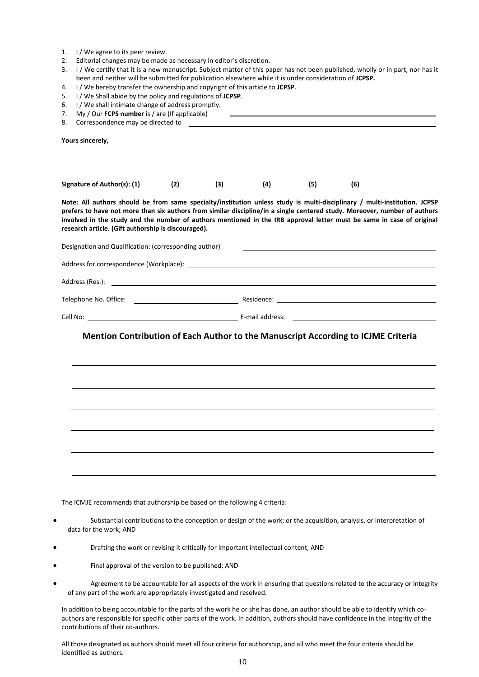- 1. I / We agree to its peer review.
- 2. Editorial changes may be made as necessary in editor's discretion.
- 3. I / We certify that it is a new manuscript. Subject matter of this paper has not been published, wholly or in part, nor has it been and neither will be submitted for publication elsewhere while it is under consideration of **JCPSP.**
- 4. I / We hereby transfer the ownership and copyright of this article to **JCPSP**.
- 5. I / We Shall abide by the policy and regulations of **JCPSP**.
- 6. I / We shall intimate change of address promptly.
- 7. My / Our **FCPS number** is / are (If applicable)
- 8. Correspondence may be directed to

**Yours sincerely,** 

| Signature of Author(s): (1)                                                                                                                                                                                                                                                                                                                                                                                                            | (2) | (3) | (4) | (5) | (6)                                                                                                                  |  |
|----------------------------------------------------------------------------------------------------------------------------------------------------------------------------------------------------------------------------------------------------------------------------------------------------------------------------------------------------------------------------------------------------------------------------------------|-----|-----|-----|-----|----------------------------------------------------------------------------------------------------------------------|--|
| Note: All authors should be from same specialty/institution unless study is multi-disciplinary / multi-institution. JCPSP<br>prefers to have not more than six authors from similar discipline/in a single centered study. Moreover, number of authors<br>involved in the study and the number of authors mentioned in the IRB approval letter must be same in case of original<br>research article. (Gift authorship is discouraged). |     |     |     |     |                                                                                                                      |  |
| Designation and Qualification: (corresponding author)                                                                                                                                                                                                                                                                                                                                                                                  |     |     |     |     | <u> 1989 - Johann Barbara, martin amerikan basal dan berasal dan berasal dalam basal dan berasal dan berasal dan</u> |  |
|                                                                                                                                                                                                                                                                                                                                                                                                                                        |     |     |     |     |                                                                                                                      |  |
|                                                                                                                                                                                                                                                                                                                                                                                                                                        |     |     |     |     |                                                                                                                      |  |
|                                                                                                                                                                                                                                                                                                                                                                                                                                        |     |     |     |     |                                                                                                                      |  |
|                                                                                                                                                                                                                                                                                                                                                                                                                                        |     |     |     |     |                                                                                                                      |  |
| Mention Contribution of Each Author to the Manuscript According to ICJME Criteria                                                                                                                                                                                                                                                                                                                                                      |     |     |     |     |                                                                                                                      |  |
|                                                                                                                                                                                                                                                                                                                                                                                                                                        |     |     |     |     |                                                                                                                      |  |
|                                                                                                                                                                                                                                                                                                                                                                                                                                        |     |     |     |     |                                                                                                                      |  |
|                                                                                                                                                                                                                                                                                                                                                                                                                                        |     |     |     |     |                                                                                                                      |  |
|                                                                                                                                                                                                                                                                                                                                                                                                                                        |     |     |     |     |                                                                                                                      |  |
|                                                                                                                                                                                                                                                                                                                                                                                                                                        |     |     |     |     |                                                                                                                      |  |

The ICMJE recommends that authorship be based on the following 4 criteria:

- Substantial contributions to the conception or design of the work; or the acquisition, analysis, or interpretation of data for the work; AND
- Drafting the work or revising it critically for important intellectual content; AND
- Final approval of the version to be published; AND
- Agreement to be accountable for all aspects of the work in ensuring that questions related to the accuracy or integrity of any part of the work are appropriately investigated and resolved.

In addition to being accountable for the parts of the work he or she has done, an author should be able to identify which coauthors are responsible for specific other parts of the work. In addition, authors should have confidence in the integrity of the contributions of their co-authors.

All those designated as authors should meet all four criteria for authorship, and all who meet the four criteria should be identified as authors.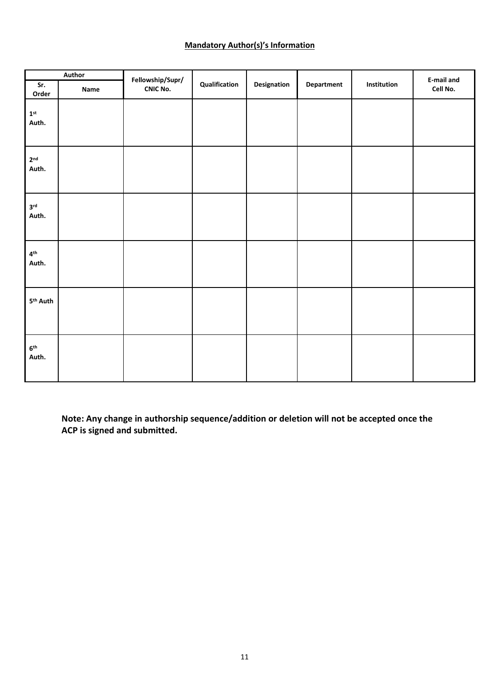### **Mandatory Author(s)'s Information**

| Author                            |      |                                     |               |             |                   |             | E-mail and |
|-----------------------------------|------|-------------------------------------|---------------|-------------|-------------------|-------------|------------|
| Sr.<br>Order                      | Name | Fellowship/Supr/<br><b>CNIC No.</b> | Qualification | Designation | <b>Department</b> | Institution | Cell No.   |
| $\mathbf{1}^{\text{st}}$<br>Auth. |      |                                     |               |             |                   |             |            |
| 2 <sup>nd</sup><br>Auth.          |      |                                     |               |             |                   |             |            |
| 3 <sup>rd</sup><br>Auth.          |      |                                     |               |             |                   |             |            |
| 4 <sup>th</sup><br>Auth.          |      |                                     |               |             |                   |             |            |
| 5 <sup>th</sup> Auth              |      |                                     |               |             |                   |             |            |
| 6 <sup>th</sup><br>Auth.          |      |                                     |               |             |                   |             |            |

**Note: Any change in authorship sequence/addition or deletion will not be accepted once the ACP is signed and submitted.**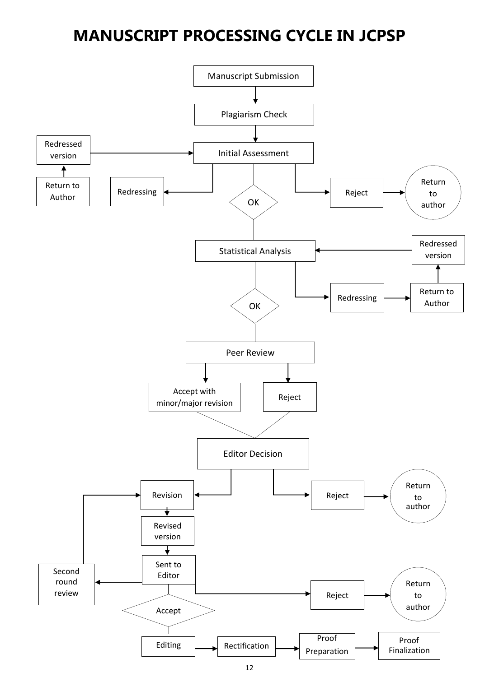## **MANUSCRIPT PROCESSING CYCLE IN JCPSP**